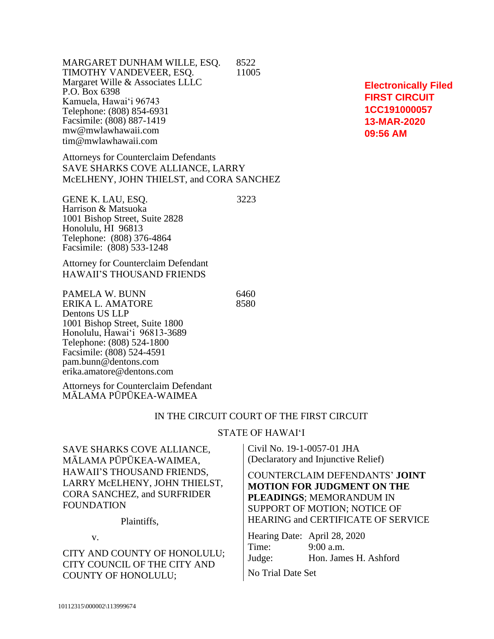MARGARET DUNHAM WILLE, ESQ. 8522 TIMOTHY VANDEVEER, ESQ. 11005 Margaret Wille & Associates LLLC P.O. Box 6398 Kamuela, Hawai'i 96743 Telephone: (808) 854-6931 Facsimile: (808) 887-1419 mw@mwlawhawaii.com tim@mwlawhawaii.com

Attorneys for Counterclaim Defendants SAVE SHARKS COVE ALLIANCE, LARRY McELHENY, JOHN THIELST, and CORA SANCHEZ

GENE K. LAU, ESO. 3223 Harrison & Matsuoka 1001 Bishop Street, Suite 2828 Honolulu, HI 96813 Telephone: (808) 376-4864 Facsimile: (808) 533-1248

Attorney for Counterclaim Defendant HAWAII'S THOUSAND FRIENDS

PAMELA W. BUNN<br>ERIKA L. AMATORE 6460 ERIKA L. AMATORE Dentons US LLP 1001 Bishop Street, Suite 1800 Honolulu, Hawai'i 96813-3689 Telephone: (808) 524-1800 Facsimile: (808) 524-4591 pam.bunn@dentons.com erika.amatore@dentons.com

Attorneys for Counterclaim Defendant MĀLAMA PŪPŪKEA-WAIMEA

#### IN THE CIRCUIT COURT OF THE FIRST CIRCUIT

#### STATE OF HAWAI'I

SAVE SHARKS COVE ALLIANCE, MĀLAMA PŪPŪKEA-WAIMEA, HAWAII'S THOUSAND FRIENDS, LARRY McELHENY, JOHN THIELST, CORA SANCHEZ, and SURFRIDER **FOUNDATION** 

Plaintiffs,

v.

CITY AND COUNTY OF HONOLULU; CITY COUNCIL OF THE CITY AND COUNTY OF HONOLULU;

Civil No. 19-1-0057-01 JHA (Declaratory and Injunctive Relief)

COUNTERCLAIM DEFENDANTS' **JOINT MOTION FOR JUDGMENT ON THE PLEADINGS**; MEMORANDUM IN SUPPORT OF MOTION; NOTICE OF HEARING and CERTIFICATE OF SERVICE

Hearing Date: April 28, 2020 Time: 9:00 a.m. Judge: Hon. James H. Ashford

No Trial Date Set

**Electronically Filed FIRST CIRCUIT 1CC191000057 13-MAR-2020 09:56 AM**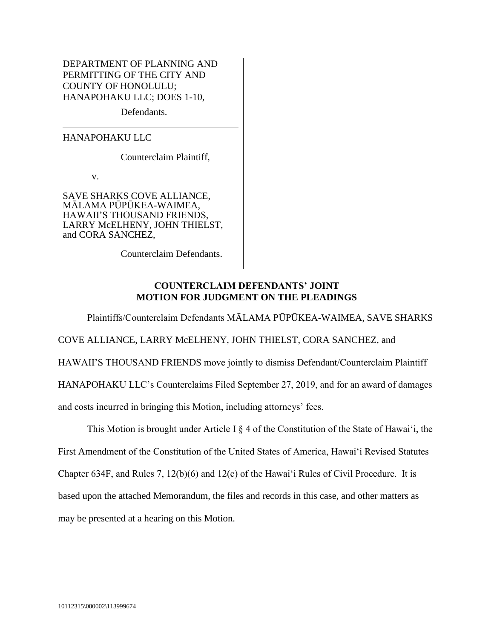DEPARTMENT OF PLANNING AND PERMITTING OF THE CITY AND COUNTY OF HONOLULU; HANAPOHAKU LLC; DOES 1-10,

Defendants.

HANAPOHAKU LLC

Counterclaim Plaintiff,

v.

SAVE SHARKS COVE ALLIANCE, MĀLAMA PŪPŪKEA-WAIMEA, HAWAII'S THOUSAND FRIENDS, LARRY McELHENY, JOHN THIELST, and CORA SANCHEZ,

Counterclaim Defendants.

### **COUNTERCLAIM DEFENDANTS' JOINT MOTION FOR JUDGMENT ON THE PLEADINGS**

Plaintiffs/Counterclaim Defendants MĀLAMA PŪPŪKEA-WAIMEA, SAVE SHARKS COVE ALLIANCE, LARRY McELHENY, JOHN THIELST, CORA SANCHEZ, and HAWAII'S THOUSAND FRIENDS move jointly to dismiss Defendant/Counterclaim Plaintiff HANAPOHAKU LLC's Counterclaims Filed September 27, 2019, and for an award of damages and costs incurred in bringing this Motion, including attorneys' fees.

This Motion is brought under Article I § 4 of the Constitution of the State of Hawai'i, the First Amendment of the Constitution of the United States of America, Hawai'i Revised Statutes Chapter 634F, and Rules 7, 12(b)(6) and 12(c) of the Hawai'i Rules of Civil Procedure. It is based upon the attached Memorandum, the files and records in this case, and other matters as may be presented at a hearing on this Motion.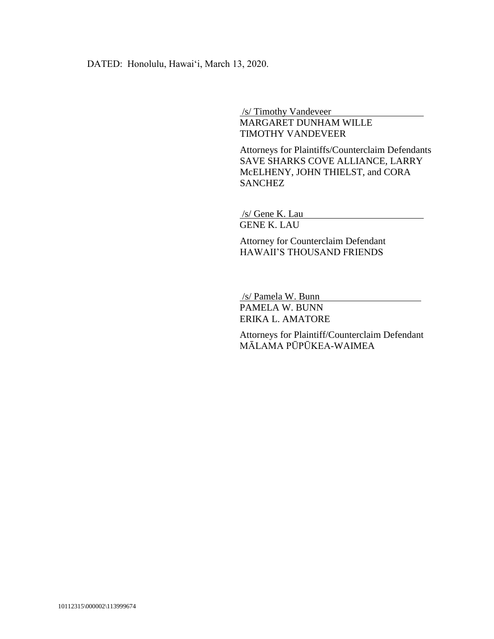DATED: Honolulu, Hawai'i, March 13, 2020.

/s/ Timothy Vandeveer

MARGARET DUNHAM WILLE TIMOTHY VANDEVEER

Attorneys for Plaintiffs/Counterclaim Defendants SAVE SHARKS COVE ALLIANCE, LARRY McELHENY, JOHN THIELST, and CORA **SANCHEZ** 

/s/ Gene K. Lau GENE K. LAU

Attorney for Counterclaim Defendant HAWAII'S THOUSAND FRIENDS

/s/ Pamela W. Bunn

PAMELA W. BUNN ERIKA L. AMATORE

Attorneys for Plaintiff/Counterclaim Defendant MĀLAMA PŪPŪKEA-WAIMEA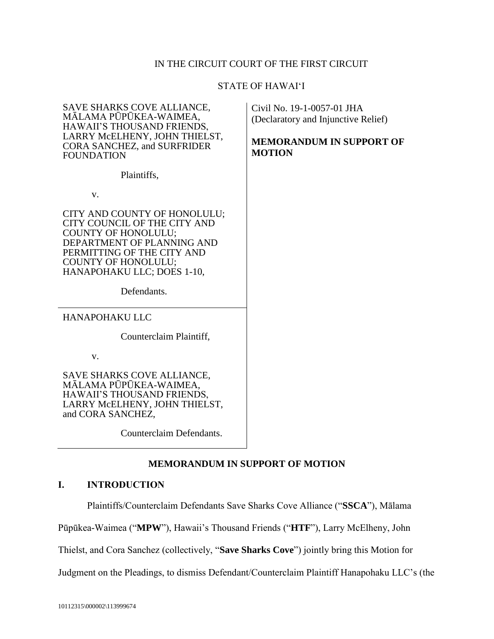# IN THE CIRCUIT COURT OF THE FIRST CIRCUIT

### STATE OF HAWAI'I

| SAVE SHARKS COVE ALLIANCE,<br>MĀLAMA PŪPŪKEA-WAIMEA,<br>HAWAII'S THOUSAND FRIENDS,<br>LARRY MCELHENY, JOHN THIELST,<br><b>CORA SANCHEZ, and SURFRIDER</b><br><b>FOUNDATION</b>                                                    | Civil No. 19-1-0057-01 JHA<br>(Declaratory and Injunctive Relief)<br><b>MEMORANDUM IN SUPPORT OF</b><br><b>MOTION</b> |
|-----------------------------------------------------------------------------------------------------------------------------------------------------------------------------------------------------------------------------------|-----------------------------------------------------------------------------------------------------------------------|
| Plaintiffs,                                                                                                                                                                                                                       |                                                                                                                       |
| V.                                                                                                                                                                                                                                |                                                                                                                       |
| CITY AND COUNTY OF HONOLULU;<br>CITY COUNCIL OF THE CITY AND<br><b>COUNTY OF HONOLULU;</b><br>DEPARTMENT OF PLANNING AND<br>PERMITTING OF THE CITY AND<br><b>COUNTY OF HONOLULU;</b><br>HANAPOHAKU LLC; DOES 1-10,<br>Defendants. |                                                                                                                       |
| <b>HANAPOHAKU LLC</b>                                                                                                                                                                                                             |                                                                                                                       |
| Counterclaim Plaintiff,                                                                                                                                                                                                           |                                                                                                                       |
| V.                                                                                                                                                                                                                                |                                                                                                                       |
| SAVE SHARKS COVE ALLIANCE,<br>MĀLAMA PŪPŪKEA-WAIMEA,<br>HAWAII'S THOUSAND FRIENDS,<br>LARRY MCELHENY, JOHN THIELST,<br>and CORA SANCHEZ,                                                                                          |                                                                                                                       |

Counterclaim Defendants.

# **MEMORANDUM IN SUPPORT OF MOTION**

# **I. INTRODUCTION**

Plaintiffs/Counterclaim Defendants Save Sharks Cove Alliance ("**SSCA**"), Mālama

Pūpūkea-Waimea ("**MPW**"), Hawaii's Thousand Friends ("**HTF**"), Larry McElheny, John

Thielst, and Cora Sanchez (collectively, "**Save Sharks Cove**") jointly bring this Motion for

Judgment on the Pleadings, to dismiss Defendant/Counterclaim Plaintiff Hanapohaku LLC's (the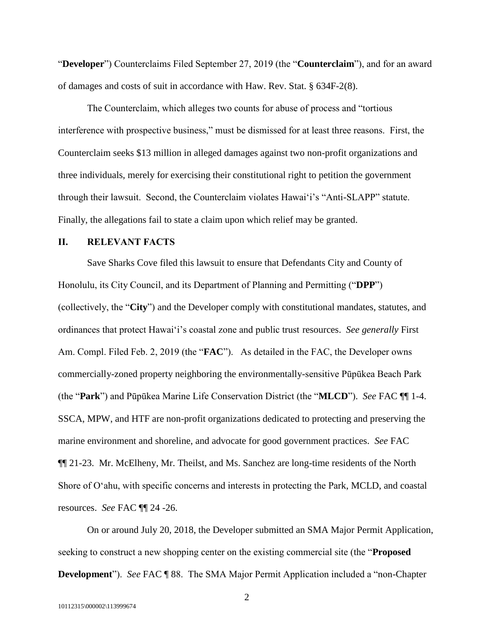"**Developer**") Counterclaims Filed September 27, 2019 (the "**Counterclaim**"), and for an award of damages and costs of suit in accordance with Haw. Rev. Stat. § 634F-2(8).

The Counterclaim, which alleges two counts for abuse of process and "tortious interference with prospective business," must be dismissed for at least three reasons. First, the Counterclaim seeks \$13 million in alleged damages against two non-profit organizations and three individuals, merely for exercising their constitutional right to petition the government through their lawsuit. Second, the Counterclaim violates Hawai'i's "Anti-SLAPP" statute. Finally, the allegations fail to state a claim upon which relief may be granted.

### **II. RELEVANT FACTS**

Save Sharks Cove filed this lawsuit to ensure that Defendants City and County of Honolulu, its City Council, and its Department of Planning and Permitting ("**DPP**") (collectively, the "**City**") and the Developer comply with constitutional mandates, statutes, and ordinances that protect Hawai'i's coastal zone and public trust resources. *See generally* First Am. Compl. Filed Feb. 2, 2019 (the "**FAC**"). As detailed in the FAC, the Developer owns commercially-zoned property neighboring the environmentally-sensitive Pūpūkea Beach Park (the "**Park**") and Pūpūkea Marine Life Conservation District (the "**MLCD**"). *See* FAC ¶¶ 1-4. SSCA, MPW, and HTF are non-profit organizations dedicated to protecting and preserving the marine environment and shoreline, and advocate for good government practices. *See* FAC ¶¶ 21-23. Mr. McElheny, Mr. Theilst, and Ms. Sanchez are long-time residents of the North Shore of O'ahu, with specific concerns and interests in protecting the Park, MCLD, and coastal resources. *See* FAC ¶¶ 24 -26.

On or around July 20, 2018, the Developer submitted an SMA Major Permit Application, seeking to construct a new shopping center on the existing commercial site (the "**Proposed Development**"). *See* FAC ¶ 88. The SMA Major Permit Application included a "non-Chapter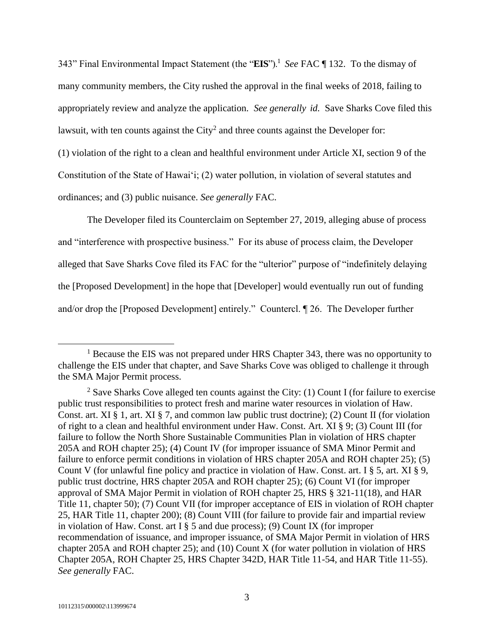343" Final Environmental Impact Statement (the "**EIS**").<sup>1</sup> *See* FAC ¶ 132. To the dismay of many community members, the City rushed the approval in the final weeks of 2018, failing to appropriately review and analyze the application. *See generally id.* Save Sharks Cove filed this lawsuit, with ten counts against the City<sup>2</sup> and three counts against the Developer for: (1) violation of the right to a clean and healthful environment under Article XI, section 9 of the Constitution of the State of Hawai'i; (2) water pollution, in violation of several statutes and

ordinances; and (3) public nuisance. *See generally* FAC.

The Developer filed its Counterclaim on September 27, 2019, alleging abuse of process and "interference with prospective business." For its abuse of process claim, the Developer alleged that Save Sharks Cove filed its FAC for the "ulterior" purpose of "indefinitely delaying the [Proposed Development] in the hope that [Developer] would eventually run out of funding and/or drop the [Proposed Development] entirely." Countercl. ¶ 26. The Developer further

 $\overline{a}$ 

<sup>&</sup>lt;sup>1</sup> Because the EIS was not prepared under HRS Chapter 343, there was no opportunity to challenge the EIS under that chapter, and Save Sharks Cove was obliged to challenge it through the SMA Major Permit process.

<sup>&</sup>lt;sup>2</sup> Save Sharks Cove alleged ten counts against the City: (1) Count I (for failure to exercise public trust responsibilities to protect fresh and marine water resources in violation of Haw. Const. art. XI § 1, art. XI § 7, and common law public trust doctrine); (2) Count II (for violation of right to a clean and healthful environment under Haw. Const. Art. XI § 9; (3) Count III (for failure to follow the North Shore Sustainable Communities Plan in violation of HRS chapter 205A and ROH chapter 25); (4) Count IV (for improper issuance of SMA Minor Permit and failure to enforce permit conditions in violation of HRS chapter 205A and ROH chapter 25); (5) Count V (for unlawful fine policy and practice in violation of Haw. Const. art. I § 5, art. XI § 9, public trust doctrine, HRS chapter 205A and ROH chapter 25); (6) Count VI (for improper approval of SMA Major Permit in violation of ROH chapter 25, HRS § 321-11(18), and HAR Title 11, chapter 50); (7) Count VII (for improper acceptance of EIS in violation of ROH chapter 25, HAR Title 11, chapter 200); (8) Count VIII (for failure to provide fair and impartial review in violation of Haw. Const. art I § 5 and due process); (9) Count IX (for improper recommendation of issuance, and improper issuance, of SMA Major Permit in violation of HRS chapter 205A and ROH chapter 25); and (10) Count X (for water pollution in violation of HRS Chapter 205A, ROH Chapter 25, HRS Chapter 342D, HAR Title 11-54, and HAR Title 11-55). *See generally* FAC.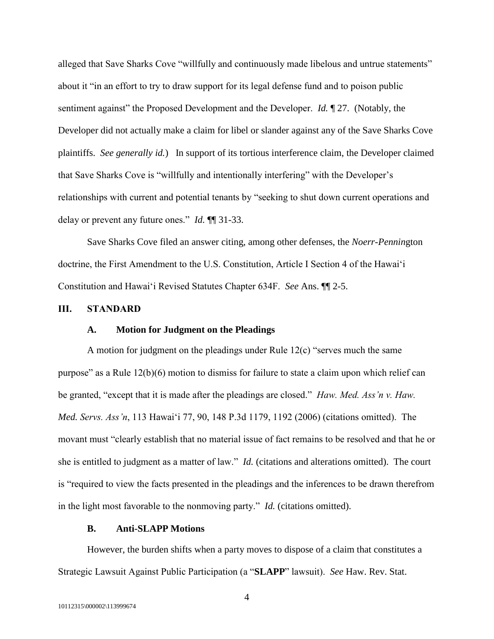alleged that Save Sharks Cove "willfully and continuously made libelous and untrue statements" about it "in an effort to try to draw support for its legal defense fund and to poison public sentiment against" the Proposed Development and the Developer. *Id.* ¶ 27. (Notably, the Developer did not actually make a claim for libel or slander against any of the Save Sharks Cove plaintiffs. *See generally id.*) In support of its tortious interference claim, the Developer claimed that Save Sharks Cove is "willfully and intentionally interfering" with the Developer's relationships with current and potential tenants by "seeking to shut down current operations and delay or prevent any future ones." *Id.* ¶¶ 31-33.

Save Sharks Cove filed an answer citing, among other defenses, the *Noerr-Pennin*gton doctrine, the First Amendment to the U.S. Constitution, Article I Section 4 of the Hawai'i Constitution and Hawai'i Revised Statutes Chapter 634F. *See* Ans. ¶¶ 2-5.

#### **III. STANDARD**

#### **A. Motion for Judgment on the Pleadings**

A motion for judgment on the pleadings under Rule 12(c) "serves much the same purpose" as a Rule 12(b)(6) motion to dismiss for failure to state a claim upon which relief can be granted, "except that it is made after the pleadings are closed." *Haw. Med. Ass'n v. Haw. Med. Servs. Ass'n*, 113 Hawai'i 77, 90, 148 P.3d 1179, 1192 (2006) (citations omitted). The movant must "clearly establish that no material issue of fact remains to be resolved and that he or she is entitled to judgment as a matter of law." *Id.* (citations and alterations omitted). The court is "required to view the facts presented in the pleadings and the inferences to be drawn therefrom in the light most favorable to the nonmoving party." *Id.* (citations omitted).

#### **B. Anti-SLAPP Motions**

However, the burden shifts when a party moves to dispose of a claim that constitutes a Strategic Lawsuit Against Public Participation (a "**SLAPP**" lawsuit). *See* Haw. Rev. Stat.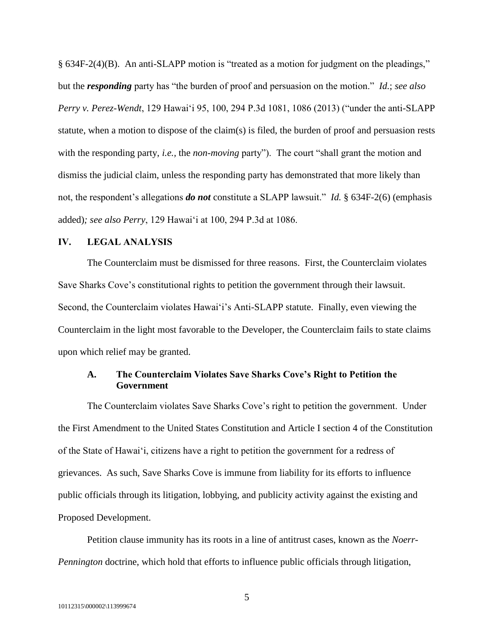§ 634F-2(4)(B). An anti-SLAPP motion is "treated as a motion for judgment on the pleadings," but the *responding* party has "the burden of proof and persuasion on the motion." *Id.*; *see also Perry v. Perez-Wendt*, 129 Hawai'i 95, 100, 294 P.3d 1081, 1086 (2013) ("under the anti-SLAPP statute, when a motion to dispose of the claim(s) is filed, the burden of proof and persuasion rests with the responding party, *i.e.,* the *non-moving* party").The court "shall grant the motion and dismiss the judicial claim, unless the responding party has demonstrated that more likely than not, the respondent's allegations *do not* constitute a SLAPP lawsuit." *Id.* § 634F-2(6) (emphasis added)*; see also Perry*, 129 Hawai'i at 100, 294 P.3d at 1086.

### **IV. LEGAL ANALYSIS**

The Counterclaim must be dismissed for three reasons. First, the Counterclaim violates Save Sharks Cove's constitutional rights to petition the government through their lawsuit. Second, the Counterclaim violates Hawai'i's Anti-SLAPP statute. Finally, even viewing the Counterclaim in the light most favorable to the Developer, the Counterclaim fails to state claims upon which relief may be granted.

### **A. The Counterclaim Violates Save Sharks Cove's Right to Petition the Government**

The Counterclaim violates Save Sharks Cove's right to petition the government. Under the First Amendment to the United States Constitution and Article I section 4 of the Constitution of the State of Hawai'i, citizens have a right to petition the government for a redress of grievances. As such, Save Sharks Cove is immune from liability for its efforts to influence public officials through its litigation, lobbying, and publicity activity against the existing and Proposed Development.

Petition clause immunity has its roots in a line of antitrust cases, known as the *Noerr-Pennington* doctrine, which hold that efforts to influence public officials through litigation,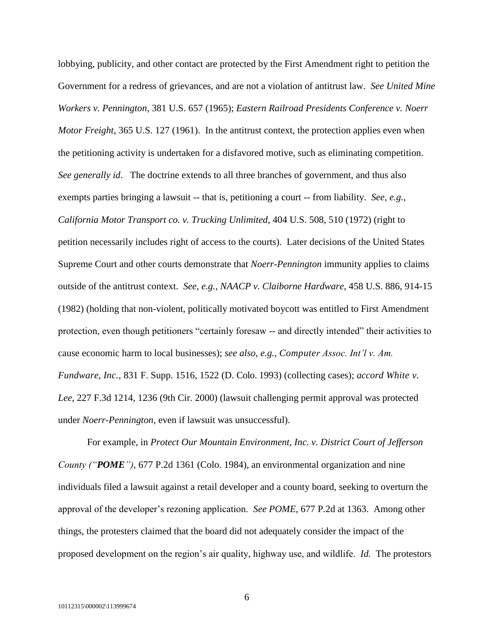lobbying, publicity, and other contact are protected by the First Amendment right to petition the Government for a redress of grievances, and are not a violation of antitrust law. *See United Mine Workers v. Pennington*, 381 U.S. 657 (1965); *Eastern Railroad Presidents Conference v. Noerr Motor Freight*, 365 U.S. 127 (1961). In the antitrust context, the protection applies even when the petitioning activity is undertaken for a disfavored motive, such as eliminating competition. *See generally id*. The doctrine extends to all three branches of government, and thus also exempts parties bringing a lawsuit -- that is, petitioning a court -- from liability. *See, e.g.*, *California Motor Transport co. v. Trucking Unlimited*, 404 U.S. 508, 510 (1972) (right to petition necessarily includes right of access to the courts). Later decisions of the United States Supreme Court and other courts demonstrate that *Noerr-Pennington* immunity applies to claims outside of the antitrust context. *See, e.g.*, *NAACP v. Claiborne Hardware*, 458 U.S. 886, 914-15 (1982) (holding that non-violent, politically motivated boycott was entitled to First Amendment protection, even though petitioners "certainly foresaw -- and directly intended" their activities to cause economic harm to local businesses); *see also, e.g.*, *Computer Assoc. Int'l v. Am. Fundware, Inc.*, 831 F. Supp. 1516, 1522 (D. Colo. 1993) (collecting cases); *accord White v. Lee*, 227 F.3d 1214, 1236 (9th Cir. 2000) (lawsuit challenging permit approval was protected under *Noerr-Pennington*, even if lawsuit was unsuccessful).

For example, in *Protect Our Mountain Environment, Inc. v. District Court of Jefferson County ("POME")*, 677 P.2d 1361 (Colo. 1984), an environmental organization and nine individuals filed a lawsuit against a retail developer and a county board, seeking to overturn the approval of the developer's rezoning application. *See POME*, 677 P.2d at 1363. Among other things, the protesters claimed that the board did not adequately consider the impact of the proposed development on the region's air quality, highway use, and wildlife. *Id.* The protestors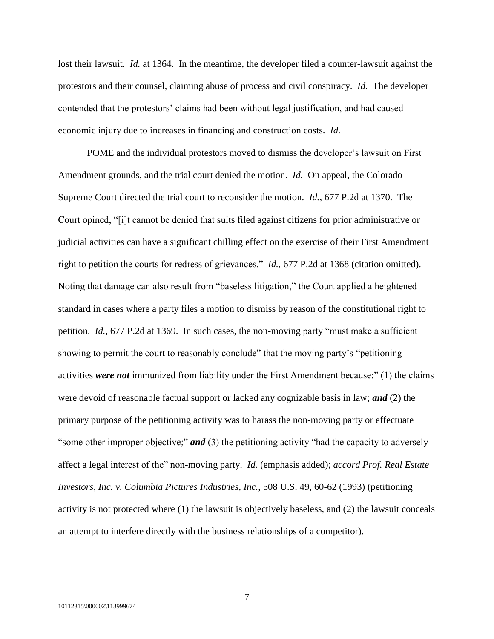lost their lawsuit. *Id.* at 1364. In the meantime, the developer filed a counter-lawsuit against the protestors and their counsel, claiming abuse of process and civil conspiracy. *Id.* The developer contended that the protestors' claims had been without legal justification, and had caused economic injury due to increases in financing and construction costs. *Id.*

POME and the individual protestors moved to dismiss the developer's lawsuit on First Amendment grounds, and the trial court denied the motion. *Id.* On appeal, the Colorado Supreme Court directed the trial court to reconsider the motion. *Id.*, 677 P.2d at 1370. The Court opined, "[i]t cannot be denied that suits filed against citizens for prior administrative or judicial activities can have a significant chilling effect on the exercise of their First Amendment right to petition the courts for redress of grievances." *Id.*, 677 P.2d at 1368 (citation omitted). Noting that damage can also result from "baseless litigation," the Court applied a heightened standard in cases where a party files a motion to dismiss by reason of the constitutional right to petition. *Id.*, 677 P.2d at 1369. In such cases, the non-moving party "must make a sufficient showing to permit the court to reasonably conclude" that the moving party's "petitioning activities *were not* immunized from liability under the First Amendment because:" (1) the claims were devoid of reasonable factual support or lacked any cognizable basis in law; *and* (2) the primary purpose of the petitioning activity was to harass the non-moving party or effectuate "some other improper objective;" **and** (3) the petitioning activity "had the capacity to adversely affect a legal interest of the" non-moving party. *Id.* (emphasis added); *accord Prof. Real Estate Investors, Inc. v. Columbia Pictures Industries, Inc.*, 508 U.S. 49, 60-62 (1993) (petitioning activity is not protected where (1) the lawsuit is objectively baseless, and (2) the lawsuit conceals an attempt to interfere directly with the business relationships of a competitor).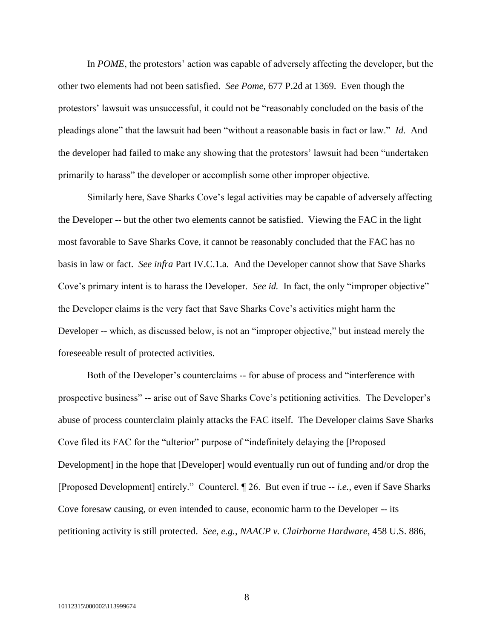In *POME*, the protestors' action was capable of adversely affecting the developer, but the other two elements had not been satisfied. *See Pome*, 677 P.2d at 1369. Even though the protestors' lawsuit was unsuccessful, it could not be "reasonably concluded on the basis of the pleadings alone" that the lawsuit had been "without a reasonable basis in fact or law." *Id.* And the developer had failed to make any showing that the protestors' lawsuit had been "undertaken primarily to harass" the developer or accomplish some other improper objective.

Similarly here, Save Sharks Cove's legal activities may be capable of adversely affecting the Developer -- but the other two elements cannot be satisfied. Viewing the FAC in the light most favorable to Save Sharks Cove, it cannot be reasonably concluded that the FAC has no basis in law or fact. *See infra* Part IV.C.1.a. And the Developer cannot show that Save Sharks Cove's primary intent is to harass the Developer. *See id.* In fact, the only "improper objective" the Developer claims is the very fact that Save Sharks Cove's activities might harm the Developer -- which, as discussed below, is not an "improper objective," but instead merely the foreseeable result of protected activities.

Both of the Developer's counterclaims -- for abuse of process and "interference with prospective business" -- arise out of Save Sharks Cove's petitioning activities. The Developer's abuse of process counterclaim plainly attacks the FAC itself. The Developer claims Save Sharks Cove filed its FAC for the "ulterior" purpose of "indefinitely delaying the [Proposed Development] in the hope that [Developer] would eventually run out of funding and/or drop the [Proposed Development] entirely." Countercl. ¶ 26. But even if true -- *i.e.,* even if Save Sharks Cove foresaw causing, or even intended to cause, economic harm to the Developer -- its petitioning activity is still protected. *See*, *e.g.*, *NAACP v. Clairborne Hardware*, 458 U.S. 886,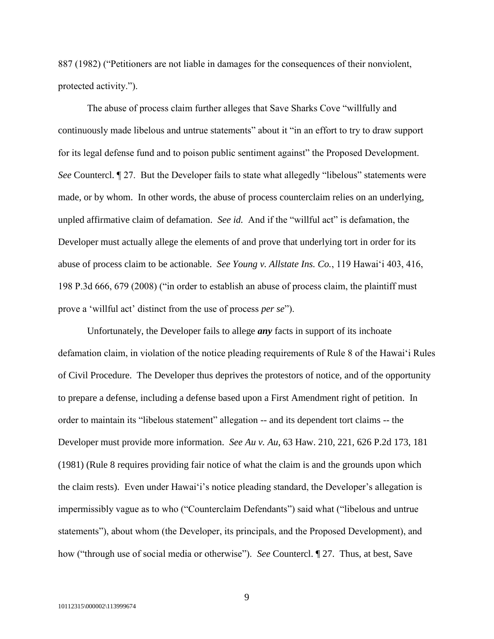887 (1982) ("Petitioners are not liable in damages for the consequences of their nonviolent, protected activity.").

The abuse of process claim further alleges that Save Sharks Cove "willfully and continuously made libelous and untrue statements" about it "in an effort to try to draw support for its legal defense fund and to poison public sentiment against" the Proposed Development. *See* Countercl. ¶ 27. But the Developer fails to state what allegedly "libelous" statements were made, or by whom. In other words, the abuse of process counterclaim relies on an underlying, unpled affirmative claim of defamation. *See id.* And if the "willful act" is defamation, the Developer must actually allege the elements of and prove that underlying tort in order for its abuse of process claim to be actionable. *See Young v. Allstate Ins. Co.*, 119 Hawai'i 403, 416, 198 P.3d 666, 679 (2008) ("in order to establish an abuse of process claim, the plaintiff must prove a 'willful act' distinct from the use of process *per se*").

Unfortunately, the Developer fails to allege *any* facts in support of its inchoate defamation claim, in violation of the notice pleading requirements of Rule 8 of the Hawai'i Rules of Civil Procedure. The Developer thus deprives the protestors of notice, and of the opportunity to prepare a defense, including a defense based upon a First Amendment right of petition. In order to maintain its "libelous statement" allegation -- and its dependent tort claims -- the Developer must provide more information. *See Au v. Au*, 63 Haw. 210, 221, 626 P.2d 173, 181 (1981) (Rule 8 requires providing fair notice of what the claim is and the grounds upon which the claim rests). Even under Hawai'i's notice pleading standard, the Developer's allegation is impermissibly vague as to who ("Counterclaim Defendants") said what ("libelous and untrue statements"), about whom (the Developer, its principals, and the Proposed Development), and how ("through use of social media or otherwise"). *See* Countercl. ¶ 27. Thus, at best, Save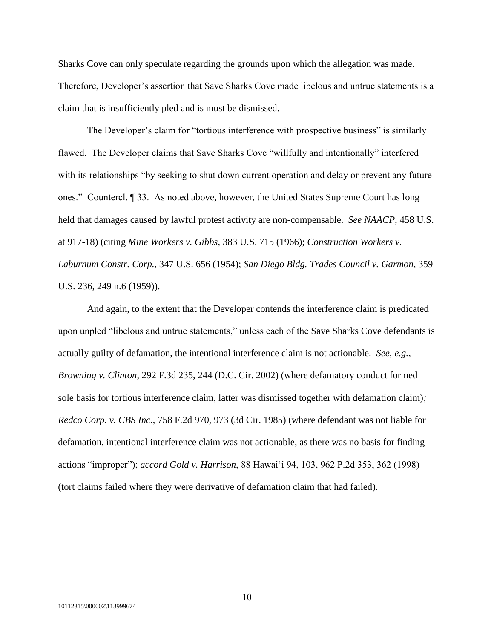Sharks Cove can only speculate regarding the grounds upon which the allegation was made. Therefore, Developer's assertion that Save Sharks Cove made libelous and untrue statements is a claim that is insufficiently pled and is must be dismissed.

The Developer's claim for "tortious interference with prospective business" is similarly flawed. The Developer claims that Save Sharks Cove "willfully and intentionally" interfered with its relationships "by seeking to shut down current operation and delay or prevent any future ones." Countercl. ¶ 33. As noted above, however, the United States Supreme Court has long held that damages caused by lawful protest activity are non-compensable. *See NAACP*, 458 U.S. at 917-18) (citing *Mine Workers v. Gibbs*, 383 U.S. 715 (1966); *Construction Workers v. Laburnum Constr. Corp.*, 347 U.S. 656 (1954); *San Diego Bldg. Trades Council v. Garmon*, 359 U.S. 236, 249 n.6 (1959)).

And again, to the extent that the Developer contends the interference claim is predicated upon unpled "libelous and untrue statements," unless each of the Save Sharks Cove defendants is actually guilty of defamation, the intentional interference claim is not actionable. *See*, *e.g.*, *Browning v. Clinton*, 292 F.3d 235, 244 (D.C. Cir. 2002) (where defamatory conduct formed sole basis for tortious interference claim, latter was dismissed together with defamation claim)*; Redco Corp. v. CBS Inc.*, 758 F.2d 970, 973 (3d Cir. 1985) (where defendant was not liable for defamation, intentional interference claim was not actionable, as there was no basis for finding actions "improper"); *accord Gold v. Harrison*, 88 Hawai'i 94, 103, 962 P.2d 353, 362 (1998) (tort claims failed where they were derivative of defamation claim that had failed).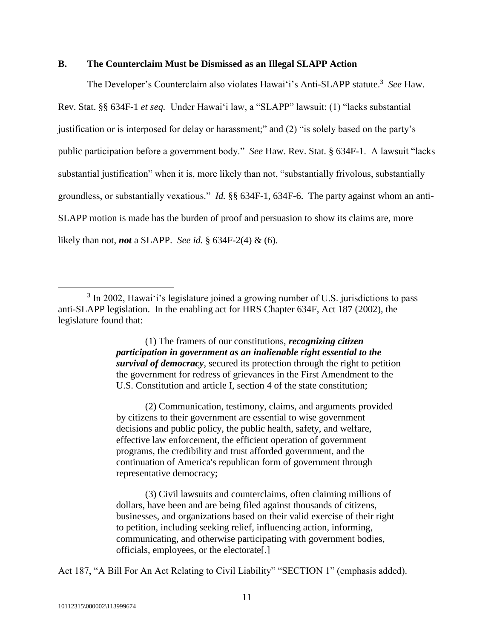#### **B. The Counterclaim Must be Dismissed as an Illegal SLAPP Action**

The Developer's Counterclaim also violates Hawai'i's Anti-SLAPP statute.<sup>3</sup> See Haw. Rev. Stat. §§ 634F-1 *et seq.* Under Hawai'i law, a "SLAPP" lawsuit: (1) "lacks substantial justification or is interposed for delay or harassment;" and (2) "is solely based on the party's public participation before a government body." *See* Haw. Rev. Stat. § 634F-1. A lawsuit "lacks substantial justification" when it is, more likely than not, "substantially frivolous, substantially groundless, or substantially vexatious." *Id.* §§ 634F-1, 634F-6. The party against whom an anti-SLAPP motion is made has the burden of proof and persuasion to show its claims are, more likely than not, *not* a SLAPP. *See id.* § 634F-2(4) & (6).

(1) The framers of our constitutions, *recognizing citizen participation in government as an inalienable right essential to the survival of democracy*, secured its protection through the right to petition the government for redress of grievances in the First Amendment to the U.S. Constitution and article I, section 4 of the state constitution;

(2) Communication, testimony, claims, and arguments provided by citizens to their government are essential to wise government decisions and public policy, the public health, safety, and welfare, effective law enforcement, the efficient operation of government programs, the credibility and trust afforded government, and the continuation of America's republican form of government through representative democracy;

(3) Civil lawsuits and counterclaims, often claiming millions of dollars, have been and are being filed against thousands of citizens, businesses, and organizations based on their valid exercise of their right to petition, including seeking relief, influencing action, informing, communicating, and otherwise participating with government bodies, officials, employees, or the electorate[.]

Act 187, "A Bill For An Act Relating to Civil Liability" "SECTION 1" (emphasis added).

 $\overline{a}$ 

 $3 \text{ In } 2002$ , Hawai'i's legislature joined a growing number of U.S. jurisdictions to pass anti-SLAPP legislation. In the enabling act for HRS Chapter 634F, Act 187 (2002), the legislature found that: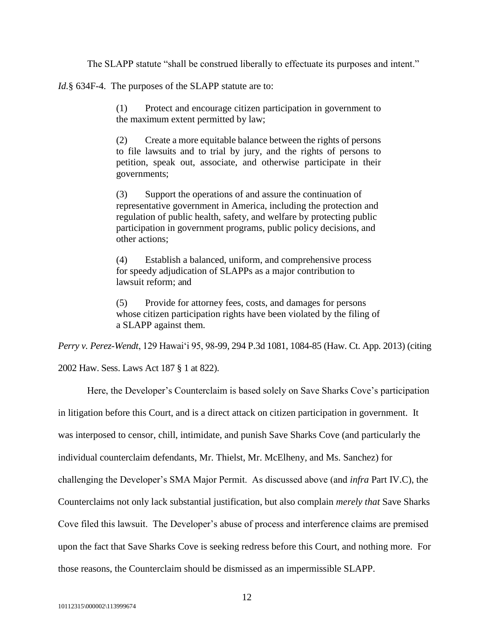The SLAPP statute "shall be construed liberally to effectuate its purposes and intent."

*Id.*§ 634F-4. The purposes of the SLAPP statute are to:

(1) Protect and encourage citizen participation in government to the maximum extent permitted by law;

(2) Create a more equitable balance between the rights of persons to file lawsuits and to trial by jury, and the rights of persons to petition, speak out, associate, and otherwise participate in their governments;

(3) Support the operations of and assure the continuation of representative government in America, including the protection and regulation of public health, safety, and welfare by protecting public participation in government programs, public policy decisions, and other actions;

(4) Establish a balanced, uniform, and comprehensive process for speedy adjudication of SLAPPs as a major contribution to lawsuit reform; and

(5) Provide for attorney fees, costs, and damages for persons whose citizen participation rights have been violated by the filing of a SLAPP against them.

*Perry v. Perez-Wendt*, 129 Hawai'i 95, 98-99, 294 P.3d 1081, 1084-85 (Haw. Ct. App. 2013) (citing

2002 Haw. Sess. Laws Act 187 § 1 at 822).

Here, the Developer's Counterclaim is based solely on Save Sharks Cove's participation

in litigation before this Court, and is a direct attack on citizen participation in government. It

was interposed to censor, chill, intimidate, and punish Save Sharks Cove (and particularly the

individual counterclaim defendants, Mr. Thielst, Mr. McElheny, and Ms. Sanchez) for

challenging the Developer's SMA Major Permit. As discussed above (and *infra* Part IV.C), the

Counterclaims not only lack substantial justification, but also complain *merely that* Save Sharks

Cove filed this lawsuit. The Developer's abuse of process and interference claims are premised

upon the fact that Save Sharks Cove is seeking redress before this Court, and nothing more. For

those reasons, the Counterclaim should be dismissed as an impermissible SLAPP.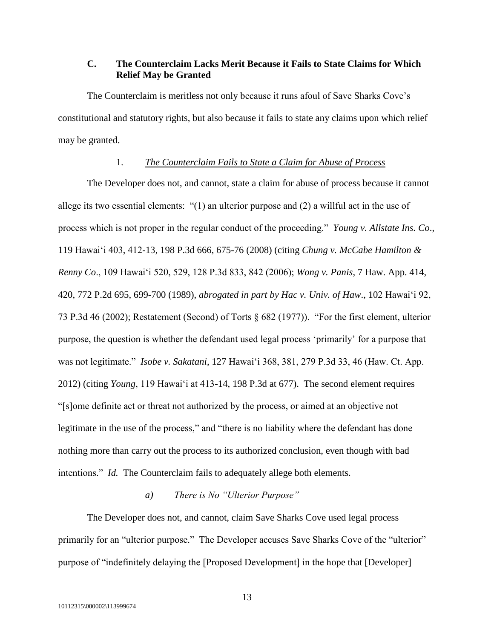# **C. The Counterclaim Lacks Merit Because it Fails to State Claims for Which Relief May be Granted**

The Counterclaim is meritless not only because it runs afoul of Save Sharks Cove's constitutional and statutory rights, but also because it fails to state any claims upon which relief may be granted.

#### 1. *The Counterclaim Fails to State a Claim for Abuse of Process*

The Developer does not, and cannot, state a claim for abuse of process because it cannot allege its two essential elements: "(1) an ulterior purpose and (2) a willful act in the use of process which is not proper in the regular conduct of the proceeding." *Young v. Allstate Ins. Co*., 119 Hawai'i 403, 412-13, 198 P.3d 666, 675-76 (2008) (citing *Chung v. McCabe Hamilton & Renny Co*., 109 Hawai'i 520, 529, 128 P.3d 833, 842 (2006); *Wong v. Panis*, 7 Haw. App. 414, 420, 772 P.2d 695, 699-700 (1989), *abrogated in part by Hac v. Univ. of Haw*., 102 Hawai'i 92, 73 P.3d 46 (2002); Restatement (Second) of Torts § 682 (1977)). "For the first element, ulterior purpose, the question is whether the defendant used legal process 'primarily' for a purpose that was not legitimate." *Isobe v. Sakatani*, 127 Hawai'i 368, 381, 279 P.3d 33, 46 (Haw. Ct. App. 2012) (citing *Young*, 119 Hawai'i at 413-14, 198 P.3d at 677). The second element requires "[s]ome definite act or threat not authorized by the process, or aimed at an objective not legitimate in the use of the process," and "there is no liability where the defendant has done nothing more than carry out the process to its authorized conclusion, even though with bad intentions." *Id.* The Counterclaim fails to adequately allege both elements.

### *a) There is No "Ulterior Purpose"*

The Developer does not, and cannot, claim Save Sharks Cove used legal process primarily for an "ulterior purpose." The Developer accuses Save Sharks Cove of the "ulterior" purpose of "indefinitely delaying the [Proposed Development] in the hope that [Developer]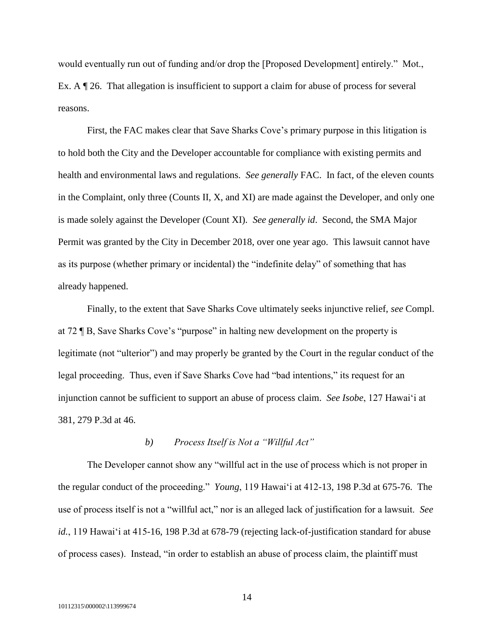would eventually run out of funding and/or drop the [Proposed Development] entirely." Mot., Ex. A  $\parallel$  26. That allegation is insufficient to support a claim for abuse of process for several reasons.

First, the FAC makes clear that Save Sharks Cove's primary purpose in this litigation is to hold both the City and the Developer accountable for compliance with existing permits and health and environmental laws and regulations. *See generally* FAC. In fact, of the eleven counts in the Complaint, only three (Counts II, X, and XI) are made against the Developer, and only one is made solely against the Developer (Count XI). *See generally id*. Second, the SMA Major Permit was granted by the City in December 2018, over one year ago. This lawsuit cannot have as its purpose (whether primary or incidental) the "indefinite delay" of something that has already happened.

Finally, to the extent that Save Sharks Cove ultimately seeks injunctive relief, *see* Compl. at 72 ¶ B, Save Sharks Cove's "purpose" in halting new development on the property is legitimate (not "ulterior") and may properly be granted by the Court in the regular conduct of the legal proceeding. Thus, even if Save Sharks Cove had "bad intentions," its request for an injunction cannot be sufficient to support an abuse of process claim. *See Isobe*, 127 Hawai'i at 381, 279 P.3d at 46.

#### *b) Process Itself is Not a "Willful Act"*

The Developer cannot show any "willful act in the use of process which is not proper in the regular conduct of the proceeding." *Young*, 119 Hawai'i at 412-13, 198 P.3d at 675-76. The use of process itself is not a "willful act," nor is an alleged lack of justification for a lawsuit. *See*  id., 119 Hawai'i at 415-16, 198 P.3d at 678-79 (rejecting lack-of-justification standard for abuse of process cases). Instead, "in order to establish an abuse of process claim, the plaintiff must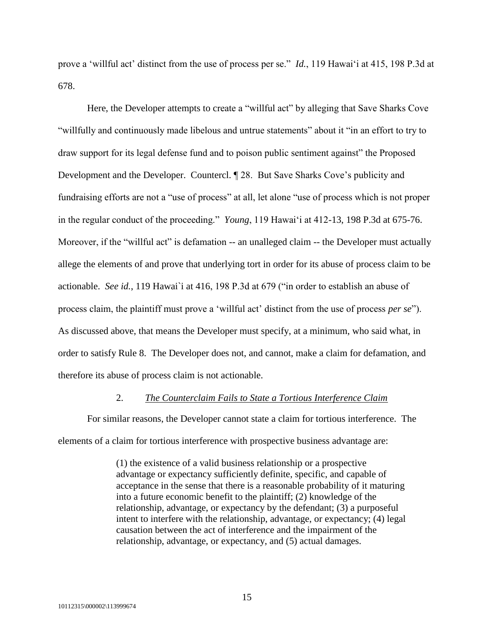prove a 'willful act' distinct from the use of process per se." *Id.*, 119 Hawai'i at 415, 198 P.3d at 678.

Here, the Developer attempts to create a "willful act" by alleging that Save Sharks Cove "willfully and continuously made libelous and untrue statements" about it "in an effort to try to draw support for its legal defense fund and to poison public sentiment against" the Proposed Development and the Developer. Countercl. ¶ 28. But Save Sharks Cove's publicity and fundraising efforts are not a "use of process" at all, let alone "use of process which is not proper in the regular conduct of the proceeding." *Young*, 119 Hawai'i at 412-13, 198 P.3d at 675-76. Moreover, if the "willful act" is defamation -- an unalleged claim -- the Developer must actually allege the elements of and prove that underlying tort in order for its abuse of process claim to be actionable. *See id.*, 119 Hawai`i at 416, 198 P.3d at 679 ("in order to establish an abuse of process claim, the plaintiff must prove a 'willful act' distinct from the use of process *per se*"). As discussed above, that means the Developer must specify, at a minimum, who said what, in order to satisfy Rule 8. The Developer does not, and cannot, make a claim for defamation, and therefore its abuse of process claim is not actionable.

#### 2. *The Counterclaim Fails to State a Tortious Interference Claim*

For similar reasons, the Developer cannot state a claim for tortious interference. The elements of a claim for tortious interference with prospective business advantage are:

> (1) the existence of a valid business relationship or a prospective advantage or expectancy sufficiently definite, specific, and capable of acceptance in the sense that there is a reasonable probability of it maturing into a future economic benefit to the plaintiff; (2) knowledge of the relationship, advantage, or expectancy by the defendant; (3) a purposeful intent to interfere with the relationship, advantage, or expectancy; (4) legal causation between the act of interference and the impairment of the relationship, advantage, or expectancy, and (5) actual damages.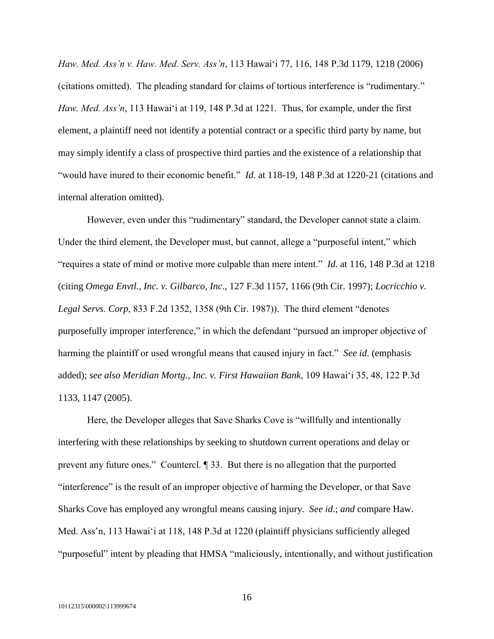*Haw. Med. Ass'n v. Haw. Med. Serv. Ass'n*, 113 Hawai'i 77, 116, 148 P.3d 1179, 1218 (2006) (citations omitted). The pleading standard for claims of tortious interference is "rudimentary." *Haw. Med. Ass'n*, 113 Hawai'i at 119, 148 P.3d at 1221. Thus, for example, under the first element, a plaintiff need not identify a potential contract or a specific third party by name, but may simply identify a class of prospective third parties and the existence of a relationship that "would have inured to their economic benefit." *Id.* at 118-19, 148 P.3d at 1220-21 (citations and internal alteration omitted).

However, even under this "rudimentary" standard, the Developer cannot state a claim. Under the third element, the Developer must, but cannot, allege a "purposeful intent," which "requires a state of mind or motive more culpable than mere intent." *Id.* at 116, 148 P.3d at 1218 (citing *Omega Envtl., Inc. v. Gilbarco, Inc*., 127 F.3d 1157, 1166 (9th Cir. 1997); *Locricchio v. Legal Servs. Corp*, 833 F.2d 1352, 1358 (9th Cir. 1987)). The third element "denotes purposefully improper interference," in which the defendant "pursued an improper objective of harming the plaintiff or used wrongful means that caused injury in fact." *See id*. (emphasis added); *see also Meridian Mortg., Inc. v. First Hawaiian Bank*, 109 Hawai'i 35, 48, 122 P.3d 1133, 1147 (2005).

Here, the Developer alleges that Save Sharks Cove is "willfully and intentionally interfering with these relationships by seeking to shutdown current operations and delay or prevent any future ones." Countercl. ¶ 33. But there is no allegation that the purported "interference" is the result of an improper objective of harming the Developer, or that Save Sharks Cove has employed any wrongful means causing injury. *See id*.; *and* compare Haw. Med. Ass'n, 113 Hawai'i at 118, 148 P.3d at 1220 (plaintiff physicians sufficiently alleged "purposeful" intent by pleading that HMSA "maliciously, intentionally, and without justification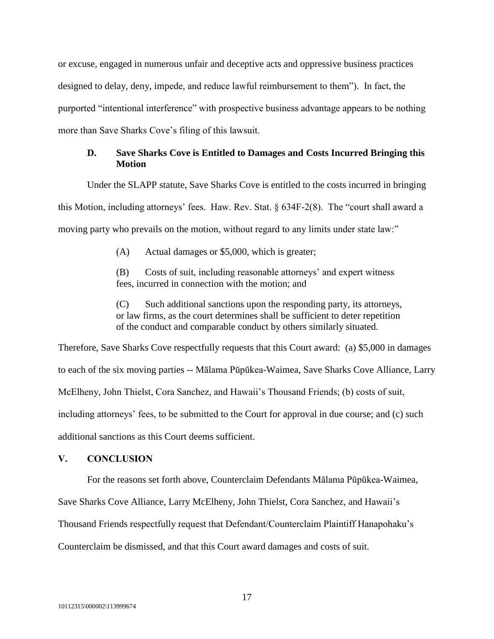or excuse, engaged in numerous unfair and deceptive acts and oppressive business practices designed to delay, deny, impede, and reduce lawful reimbursement to them"). In fact, the purported "intentional interference" with prospective business advantage appears to be nothing more than Save Sharks Cove's filing of this lawsuit.

# **D. Save Sharks Cove is Entitled to Damages and Costs Incurred Bringing this Motion**

Under the SLAPP statute, Save Sharks Cove is entitled to the costs incurred in bringing this Motion, including attorneys' fees. Haw. Rev. Stat.  $\S 634F-2(8)$ . The "court shall award a moving party who prevails on the motion, without regard to any limits under state law:"

(A) Actual damages or \$5,000, which is greater;

(B) Costs of suit, including reasonable attorneys' and expert witness fees, incurred in connection with the motion; and

(C) Such additional sanctions upon the responding party, its attorneys, or law firms, as the court determines shall be sufficient to deter repetition of the conduct and comparable conduct by others similarly situated.

Therefore, Save Sharks Cove respectfully requests that this Court award: (a) \$5,000 in damages to each of the six moving parties -- Mālama Pūpūkea-Waimea, Save Sharks Cove Alliance, Larry McElheny, John Thielst, Cora Sanchez, and Hawaii's Thousand Friends; (b) costs of suit, including attorneys' fees, to be submitted to the Court for approval in due course; and (c) such additional sanctions as this Court deems sufficient.

#### **V. CONCLUSION**

For the reasons set forth above, Counterclaim Defendants Mālama Pūpūkea-Waimea, Save Sharks Cove Alliance, Larry McElheny, John Thielst, Cora Sanchez, and Hawaii's Thousand Friends respectfully request that Defendant/Counterclaim Plaintiff Hanapohaku's Counterclaim be dismissed, and that this Court award damages and costs of suit.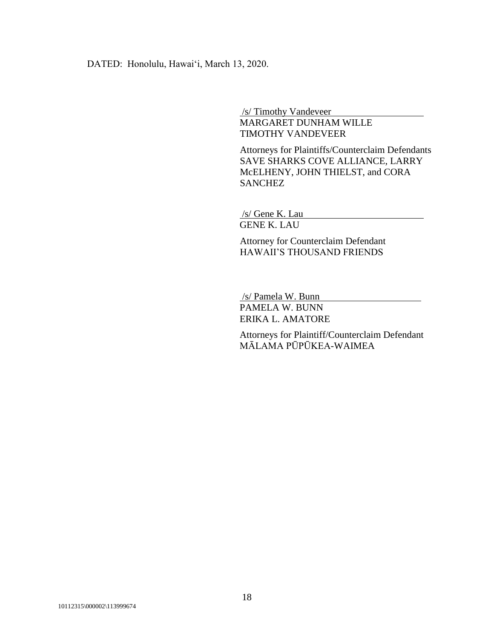DATED: Honolulu, Hawai'i, March 13, 2020.

/s/ Timothy Vandeveer

MARGARET DUNHAM WILLE TIMOTHY VANDEVEER

Attorneys for Plaintiffs/Counterclaim Defendants SAVE SHARKS COVE ALLIANCE, LARRY McELHENY, JOHN THIELST, and CORA **SANCHEZ** 

/s/ Gene K. Lau GENE K. LAU

Attorney for Counterclaim Defendant HAWAII'S THOUSAND FRIENDS

/s/ Pamela W. Bunn

PAMELA W. BUNN ERIKA L. AMATORE

Attorneys for Plaintiff/Counterclaim Defendant MĀLAMA PŪPŪKEA-WAIMEA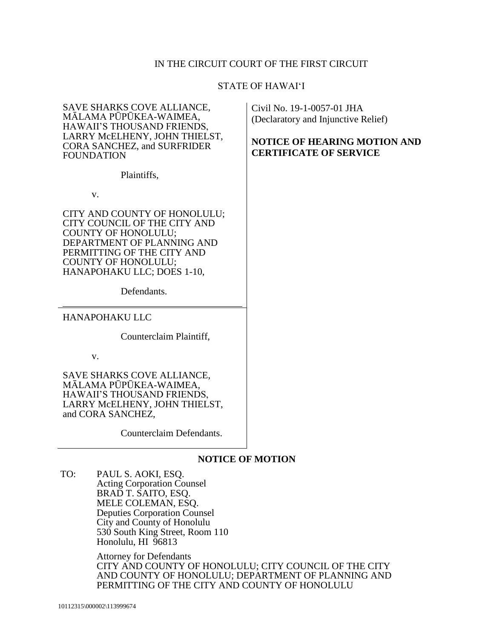# IN THE CIRCUIT COURT OF THE FIRST CIRCUIT

### STATE OF HAWAI'I

| SAVE SHARKS COVE ALLIANCE,<br>MĀLAMA PŪPŪKEA-WAIMEA,<br>HAWAII'S THOUSAND FRIENDS,<br>LARRY MCELHENY, JOHN THIELST,<br><b>CORA SANCHEZ, and SURFRIDER</b><br><b>FOUNDATION</b>                                                             | Civil No. 19-1-0057-01 JHA<br>(Declaratory and Injunctive Relief)<br><b>NOTICE OF HEARING MOTION AND</b><br><b>CERTIFICATE OF SERVICE</b> |
|--------------------------------------------------------------------------------------------------------------------------------------------------------------------------------------------------------------------------------------------|-------------------------------------------------------------------------------------------------------------------------------------------|
| Plaintiffs,                                                                                                                                                                                                                                |                                                                                                                                           |
| V.                                                                                                                                                                                                                                         |                                                                                                                                           |
| CITY AND COUNTY OF HONOLULU;<br>CITY COUNCIL OF THE CITY AND<br><b>COUNTY OF HONOLULU;</b><br>DEPARTMENT OF PLANNING AND<br>PERMITTING OF THE CITY AND<br><b>COUNTY OF HONOLULU;</b><br>HANAPOHAKU LLC; DOES 1-10,                         |                                                                                                                                           |
| Defendants.                                                                                                                                                                                                                                |                                                                                                                                           |
| <b>HANAPOHAKU LLC</b>                                                                                                                                                                                                                      |                                                                                                                                           |
| Counterclaim Plaintiff,                                                                                                                                                                                                                    |                                                                                                                                           |
| V.                                                                                                                                                                                                                                         |                                                                                                                                           |
| SAVE SHARKS COVE ALLIANCE,<br>MĀLAMA PŪPŪKEA-WAIMEA,<br>HAWAII'S THOUSAND FRIENDS,<br>LARRY MCELHENY, JOHN THIELST,<br>and CORA SANCHEZ.                                                                                                   |                                                                                                                                           |
| Counterclaim Defendants.                                                                                                                                                                                                                   |                                                                                                                                           |
| <b>NOTICE OF MOTION</b>                                                                                                                                                                                                                    |                                                                                                                                           |
| TO:<br>PAUL S. AOKI, ESQ.<br><b>Acting Corporation Counsel</b><br>BRAD T. SAITO, ESQ.<br>MELE COLEMAN, ESQ.<br><b>Deputies Corporation Counsel</b><br>City and County of Honolulu<br>530 South King Street, Room 110<br>Honolulu, HI 96813 |                                                                                                                                           |

Attorney for Defendants CITY AND COUNTY OF HONOLULU; CITY COUNCIL OF THE CITY AND COUNTY OF HONOLULU; DEPARTMENT OF PLANNING AND PERMITTING OF THE CITY AND COUNTY OF HONOLULU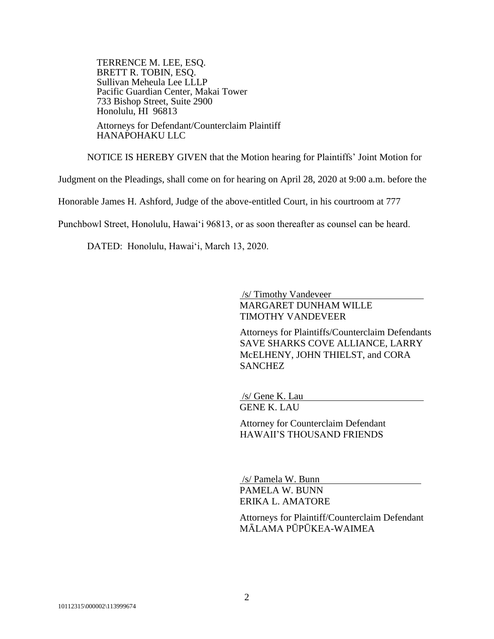TERRENCE M. LEE, ESQ. BRETT R. TOBIN, ESQ. Sullivan Meheula Lee LLLP Pacific Guardian Center, Makai Tower 733 Bishop Street, Suite 2900 Honolulu, HI 96813 Attorneys for Defendant/Counterclaim Plaintiff

HANAPOHAKU LLC

NOTICE IS HEREBY GIVEN that the Motion hearing for Plaintiffs' Joint Motion for

Judgment on the Pleadings, shall come on for hearing on April 28, 2020 at 9:00 a.m. before the

Honorable James H. Ashford, Judge of the above-entitled Court, in his courtroom at 777

Punchbowl Street, Honolulu, Hawai'i 96813, or as soon thereafter as counsel can be heard.

DATED: Honolulu, Hawai'i, March 13, 2020.

/s/ Timothy Vandeveer

MARGARET DUNHAM WILLE TIMOTHY VANDEVEER

Attorneys for Plaintiffs/Counterclaim Defendants SAVE SHARKS COVE ALLIANCE, LARRY McELHENY, JOHN THIELST, and CORA **SANCHEZ** 

/s/ Gene K. Lau GENE K. LAU

Attorney for Counterclaim Defendant HAWAII'S THOUSAND FRIENDS

/s/ Pamela W. Bunn PAMELA W. BUNN ERIKA L. AMATORE

Attorneys for Plaintiff/Counterclaim Defendant MĀLAMA PŪPŪKEA-WAIMEA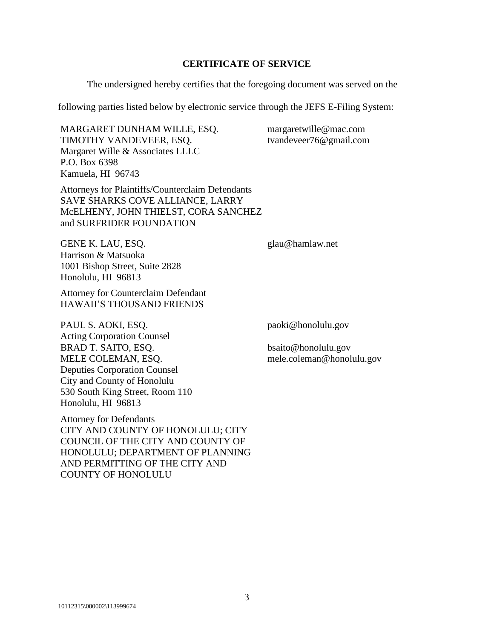### **CERTIFICATE OF SERVICE**

The undersigned hereby certifies that the foregoing document was served on the

following parties listed below by electronic service through the JEFS E-Filing System:

MARGARET DUNHAM WILLE, ESQ. TIMOTHY VANDEVEER, ESQ. Margaret Wille & Associates LLLC P.O. Box 6398 Kamuela, HI 96743

Attorneys for Plaintiffs/Counterclaim Defendants SAVE SHARKS COVE ALLIANCE, LARRY McELHENY, JOHN THIELST, CORA SANCHEZ and SURFRIDER FOUNDATION

glau@hamlaw.net

margaretwille@mac.com tvandeveer76@gmail.com

GENE K. LAU, ESQ. Harrison & Matsuoka 1001 Bishop Street, Suite 2828 Honolulu, HI 96813

Attorney for Counterclaim Defendant HAWAII'S THOUSAND FRIENDS

PAUL S. AOKI, ESQ. Acting Corporation Counsel BRAD T. SAITO, ESQ. MELE COLEMAN, ESQ. Deputies Corporation Counsel City and County of Honolulu 530 South King Street, Room 110 Honolulu, HI 96813

Attorney for Defendants CITY AND COUNTY OF HONOLULU; CITY COUNCIL OF THE CITY AND COUNTY OF HONOLULU; DEPARTMENT OF PLANNING AND PERMITTING OF THE CITY AND COUNTY OF HONOLULU

paoki@honolulu.gov

bsaito@honolulu.gov mele.coleman@honolulu.gov